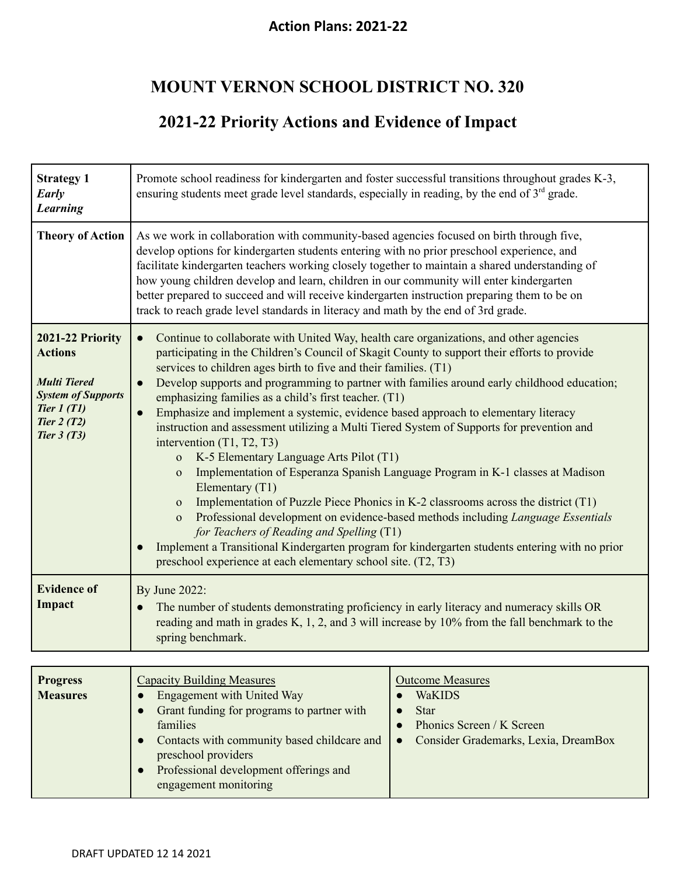## **MOUNT VERNON SCHOOL DISTRICT NO. 320**

## **2021-22 Priority Actions and Evidence of Impact**

| <b>Strategy 1</b><br>Early<br><b>Learning</b>                                                                                          | Promote school readiness for kindergarten and foster successful transitions throughout grades K-3,<br>ensuring students meet grade level standards, especially in reading, by the end of 3 <sup>rd</sup> grade.                                                                                                                                                                                                                                                                                                                                                                                                                                                                                                                                                                                                                                                                                                                                                                                                                                                                                                                                                                                                                                                     |  |
|----------------------------------------------------------------------------------------------------------------------------------------|---------------------------------------------------------------------------------------------------------------------------------------------------------------------------------------------------------------------------------------------------------------------------------------------------------------------------------------------------------------------------------------------------------------------------------------------------------------------------------------------------------------------------------------------------------------------------------------------------------------------------------------------------------------------------------------------------------------------------------------------------------------------------------------------------------------------------------------------------------------------------------------------------------------------------------------------------------------------------------------------------------------------------------------------------------------------------------------------------------------------------------------------------------------------------------------------------------------------------------------------------------------------|--|
| <b>Theory of Action</b>                                                                                                                | As we work in collaboration with community-based agencies focused on birth through five,<br>develop options for kindergarten students entering with no prior preschool experience, and<br>facilitate kindergarten teachers working closely together to maintain a shared understanding of<br>how young children develop and learn, children in our community will enter kindergarten<br>better prepared to succeed and will receive kindergarten instruction preparing them to be on<br>track to reach grade level standards in literacy and math by the end of 3rd grade.                                                                                                                                                                                                                                                                                                                                                                                                                                                                                                                                                                                                                                                                                          |  |
| 2021-22 Priority<br><b>Actions</b><br><b>Multi Tiered</b><br><b>System of Supports</b><br>Tier $1(T1)$<br>Tier $2(T2)$<br>Tier $3(T3)$ | Continue to collaborate with United Way, health care organizations, and other agencies<br>$\bullet$<br>participating in the Children's Council of Skagit County to support their efforts to provide<br>services to children ages birth to five and their families. (T1)<br>Develop supports and programming to partner with families around early childhood education;<br>emphasizing families as a child's first teacher. (T1)<br>Emphasize and implement a systemic, evidence based approach to elementary literacy<br>$\bullet$<br>instruction and assessment utilizing a Multi Tiered System of Supports for prevention and<br>intervention $(T1, T2, T3)$<br>K-5 Elementary Language Arts Pilot (T1)<br>$\mathbf{O}$<br>Implementation of Esperanza Spanish Language Program in K-1 classes at Madison<br>$\mathbf{O}$<br>Elementary (T1)<br>Implementation of Puzzle Piece Phonics in K-2 classrooms across the district (T1)<br>$\Omega$<br>Professional development on evidence-based methods including Language Essentials<br>$\mathbf{o}$<br>for Teachers of Reading and Spelling (T1)<br>Implement a Transitional Kindergarten program for kindergarten students entering with no prior<br>preschool experience at each elementary school site. (T2, T3) |  |
| <b>Evidence of</b><br>Impact                                                                                                           | By June 2022:<br>The number of students demonstrating proficiency in early literacy and numeracy skills OR<br>reading and math in grades K, 1, 2, and 3 will increase by 10% from the fall benchmark to the<br>spring benchmark.                                                                                                                                                                                                                                                                                                                                                                                                                                                                                                                                                                                                                                                                                                                                                                                                                                                                                                                                                                                                                                    |  |

| <b>Capacity Building Measures</b><br><b>Progress</b><br><b>Measures</b><br>Engagement with United Way<br>Grant funding for programs to partner with<br>families<br>Contacts with community based childcare and<br>preschool providers<br>Professional development offerings and<br>engagement monitoring | <b>Outcome Measures</b><br><b>WaKIDS</b><br><b>Star</b><br>Phonics Screen / K Screen<br>Consider Grademarks, Lexia, DreamBox<br>$\bullet$ |
|----------------------------------------------------------------------------------------------------------------------------------------------------------------------------------------------------------------------------------------------------------------------------------------------------------|-------------------------------------------------------------------------------------------------------------------------------------------|
|----------------------------------------------------------------------------------------------------------------------------------------------------------------------------------------------------------------------------------------------------------------------------------------------------------|-------------------------------------------------------------------------------------------------------------------------------------------|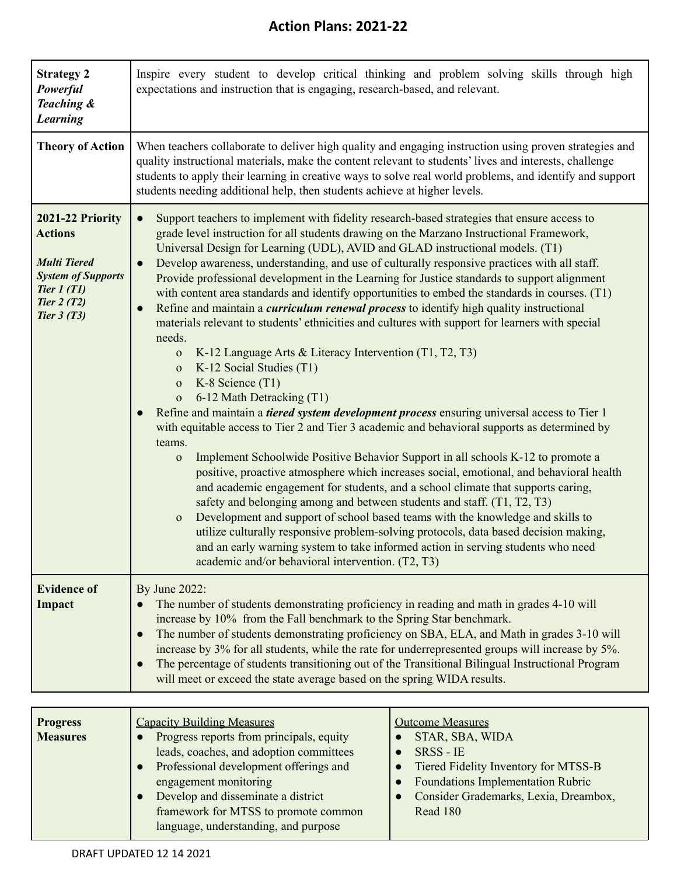| <b>Strategy 2</b><br>Powerful<br>Teaching &<br><b>Learning</b>                                                                         | Inspire every student to develop critical thinking and problem solving skills through high<br>expectations and instruction that is engaging, research-based, and relevant.                                                                                                                                                                                                                                                                                                                                                                                                                                                                                                                                                                                                                                                                                                                                                                                                                                                                                                                                                                                                                                                                                                                                                                                                                                                                                                                                                                                                                                                                                                                                                                                                                                                                                                                                                                |  |
|----------------------------------------------------------------------------------------------------------------------------------------|-------------------------------------------------------------------------------------------------------------------------------------------------------------------------------------------------------------------------------------------------------------------------------------------------------------------------------------------------------------------------------------------------------------------------------------------------------------------------------------------------------------------------------------------------------------------------------------------------------------------------------------------------------------------------------------------------------------------------------------------------------------------------------------------------------------------------------------------------------------------------------------------------------------------------------------------------------------------------------------------------------------------------------------------------------------------------------------------------------------------------------------------------------------------------------------------------------------------------------------------------------------------------------------------------------------------------------------------------------------------------------------------------------------------------------------------------------------------------------------------------------------------------------------------------------------------------------------------------------------------------------------------------------------------------------------------------------------------------------------------------------------------------------------------------------------------------------------------------------------------------------------------------------------------------------------------|--|
| <b>Theory of Action</b>                                                                                                                | When teachers collaborate to deliver high quality and engaging instruction using proven strategies and<br>quality instructional materials, make the content relevant to students' lives and interests, challenge<br>students to apply their learning in creative ways to solve real world problems, and identify and support<br>students needing additional help, then students achieve at higher levels.                                                                                                                                                                                                                                                                                                                                                                                                                                                                                                                                                                                                                                                                                                                                                                                                                                                                                                                                                                                                                                                                                                                                                                                                                                                                                                                                                                                                                                                                                                                                 |  |
| 2021-22 Priority<br><b>Actions</b><br><b>Multi Tiered</b><br><b>System of Supports</b><br>Tier $1(T1)$<br>Tier $2(T2)$<br>Tier $3(T3)$ | Support teachers to implement with fidelity research-based strategies that ensure access to<br>$\bullet$<br>grade level instruction for all students drawing on the Marzano Instructional Framework,<br>Universal Design for Learning (UDL), AVID and GLAD instructional models. (T1)<br>Develop awareness, understanding, and use of culturally responsive practices with all staff.<br>Provide professional development in the Learning for Justice standards to support alignment<br>with content area standards and identify opportunities to embed the standards in courses. (T1)<br>Refine and maintain a <i>curriculum renewal process</i> to identify high quality instructional<br>$\bullet$<br>materials relevant to students' ethnicities and cultures with support for learners with special<br>needs.<br>K-12 Language Arts & Literacy Intervention (T1, T2, T3)<br>$\mathbf{O}$<br>K-12 Social Studies (T1)<br>$\mathbf{O}$<br>K-8 Science $(T1)$<br>${\bf O}$<br>6-12 Math Detracking (T1)<br>$\mathbf{O}$<br>Refine and maintain a <i>tiered system development process</i> ensuring universal access to Tier 1<br>with equitable access to Tier 2 and Tier 3 academic and behavioral supports as determined by<br>teams.<br>Implement Schoolwide Positive Behavior Support in all schools K-12 to promote a<br>$\mathbf{O}$<br>positive, proactive atmosphere which increases social, emotional, and behavioral health<br>and academic engagement for students, and a school climate that supports caring,<br>safety and belonging among and between students and staff. (T1, T2, T3)<br>Development and support of school based teams with the knowledge and skills to<br>$\mathbf{O}$<br>utilize culturally responsive problem-solving protocols, data based decision making,<br>and an early warning system to take informed action in serving students who need<br>academic and/or behavioral intervention. (T2, T3) |  |
| <b>Evidence of</b><br>Impact                                                                                                           | By June 2022:<br>The number of students demonstrating proficiency in reading and math in grades 4-10 will<br>increase by 10% from the Fall benchmark to the Spring Star benchmark.<br>The number of students demonstrating proficiency on SBA, ELA, and Math in grades 3-10 will<br>$\bullet$<br>increase by 3% for all students, while the rate for underrepresented groups will increase by 5%.<br>The percentage of students transitioning out of the Transitional Bilingual Instructional Program<br>$\bullet$<br>will meet or exceed the state average based on the spring WIDA results.                                                                                                                                                                                                                                                                                                                                                                                                                                                                                                                                                                                                                                                                                                                                                                                                                                                                                                                                                                                                                                                                                                                                                                                                                                                                                                                                             |  |

| <b>Progress</b> | <b>Capacity Building Measures</b>        | <b>Outcome Measures</b>                  |
|-----------------|------------------------------------------|------------------------------------------|
| <b>Measures</b> | Progress reports from principals, equity | STAR, SBA, WIDA                          |
|                 | leads, coaches, and adoption committees  | <b>SRSS - IE</b>                         |
|                 | Professional development offerings and   | Tiered Fidelity Inventory for MTSS-B     |
|                 | engagement monitoring                    | <b>Foundations Implementation Rubric</b> |
|                 | Develop and disseminate a district       | Consider Grademarks, Lexia, Dreambox,    |
|                 | framework for MTSS to promote common     | Read 180                                 |
|                 | language, understanding, and purpose     |                                          |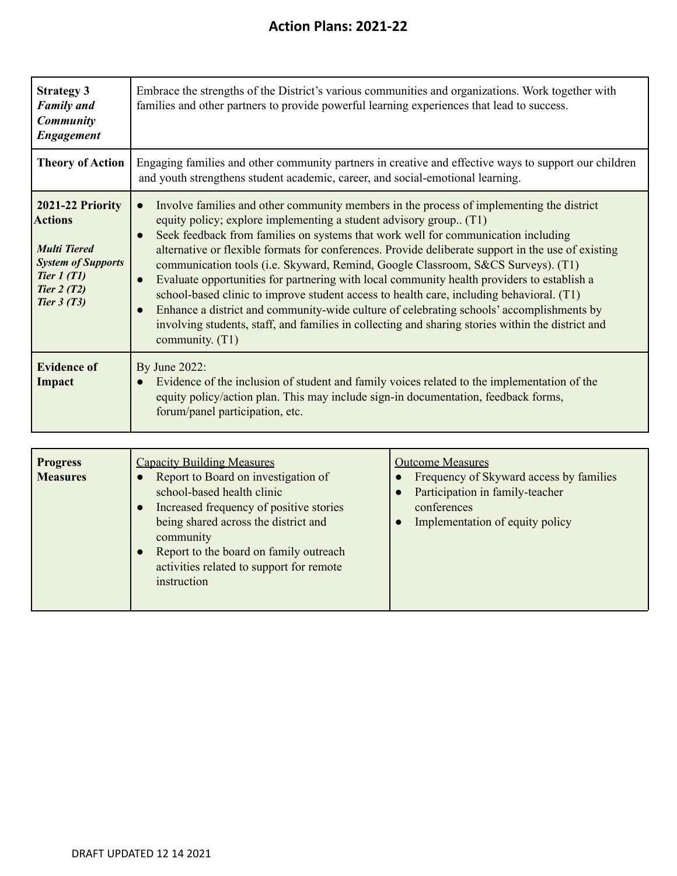| <b>Strategy 3</b><br><b>Family</b> and<br><b>Community</b><br><b>Engagement</b>                                                        | Embrace the strengths of the District's various communities and organizations. Work together with<br>families and other partners to provide powerful learning experiences that lead to success.                                                                                                                                                                                                                                                                                                                                                                                                                                                                                                                                                                                                                                                            |
|----------------------------------------------------------------------------------------------------------------------------------------|------------------------------------------------------------------------------------------------------------------------------------------------------------------------------------------------------------------------------------------------------------------------------------------------------------------------------------------------------------------------------------------------------------------------------------------------------------------------------------------------------------------------------------------------------------------------------------------------------------------------------------------------------------------------------------------------------------------------------------------------------------------------------------------------------------------------------------------------------------|
| <b>Theory of Action</b>                                                                                                                | Engaging families and other community partners in creative and effective ways to support our children<br>and youth strengthens student academic, career, and social-emotional learning.                                                                                                                                                                                                                                                                                                                                                                                                                                                                                                                                                                                                                                                                    |
| 2021-22 Priority<br><b>Actions</b><br><b>Multi Tiered</b><br><b>System of Supports</b><br>Tier $1(T1)$<br>Tier $2(T2)$<br>Tier $3(T3)$ | Involve families and other community members in the process of implementing the district<br>equity policy; explore implementing a student advisory group (T1)<br>Seek feedback from families on systems that work well for communication including<br>alternative or flexible formats for conferences. Provide deliberate support in the use of existing<br>communication tools (i.e. Skyward, Remind, Google Classroom, S&CS Surveys). (T1)<br>Evaluate opportunities for partnering with local community health providers to establish a<br>school-based clinic to improve student access to health care, including behavioral. (T1)<br>Enhance a district and community-wide culture of celebrating schools' accomplishments by<br>involving students, staff, and families in collecting and sharing stories within the district and<br>community. (T1) |
| <b>Evidence of</b><br>Impact                                                                                                           | By June 2022:<br>Evidence of the inclusion of student and family voices related to the implementation of the<br>equity policy/action plan. This may include sign-in documentation, feedback forms,<br>forum/panel participation, etc.                                                                                                                                                                                                                                                                                                                                                                                                                                                                                                                                                                                                                      |

| <b>Progress</b><br><b>Measures</b> | <b>Capacity Building Measures</b><br>Report to Board on investigation of<br>school-based health clinic<br>Increased frequency of positive stories<br>being shared across the district and<br>community<br>Report to the board on family outreach<br>activities related to support for remote<br>instruction | <b>Outcome Measures</b><br>Frequency of Skyward access by families<br>Participation in family-teacher<br>conferences<br>Implementation of equity policy |
|------------------------------------|-------------------------------------------------------------------------------------------------------------------------------------------------------------------------------------------------------------------------------------------------------------------------------------------------------------|---------------------------------------------------------------------------------------------------------------------------------------------------------|
|------------------------------------|-------------------------------------------------------------------------------------------------------------------------------------------------------------------------------------------------------------------------------------------------------------------------------------------------------------|---------------------------------------------------------------------------------------------------------------------------------------------------------|